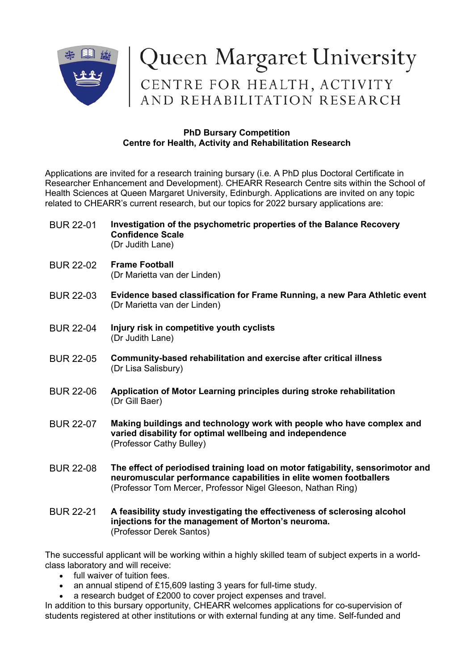

# Queen Margaret University<br>CENTRE FOR HEALTH, ACTIVITY<br>AND REHABILITATION RESEARCH

## **PhD Bursary Competition Centre for Health, Activity and Rehabilitation Research**

Applications are invited for a research training bursary (i.e. A PhD plus Doctoral Certificate in Researcher Enhancement and Development). CHEARR Research Centre sits within the School of Health Sciences at Queen Margaret University, Edinburgh. Applications are invited on any topic related to CHEARR's current research, but our topics for 2022 bursary applications are:

- BUR 22-01 **Investigation of the psychometric properties of the Balance Recovery Confidence Scale** (Dr Judith Lane)
- BUR 22-02 **Frame Football** (Dr Marietta van der Linden)
- BUR 22-03 **Evidence based classification for Frame Running, a new Para Athletic event** (Dr Marietta van der Linden)
- BUR 22-04 **Injury risk in competitive youth cyclists** (Dr Judith Lane)
- BUR 22-05 **Community-based rehabilitation and exercise after critical illness** (Dr Lisa Salisbury)
- BUR 22-06 **Application of Motor Learning principles during stroke rehabilitation** (Dr Gill Baer)
- BUR 22-07 **Making buildings and technology work with people who have complex and varied disability for optimal wellbeing and independence** (Professor Cathy Bulley)
- BUR 22-08 **The effect of periodised training load on motor fatigability, sensorimotor and neuromuscular performance capabilities in elite women footballers**  (Professor Tom Mercer, Professor Nigel Gleeson, Nathan Ring)
- BUR 22-21 **A feasibility study investigating the effectiveness of sclerosing alcohol injections for the management of Morton's neuroma.** (Professor Derek Santos)

The successful applicant will be working within a highly skilled team of subject experts in a worldclass laboratory and will receive:

- full waiver of tuition fees.
- an annual stipend of £15,609 lasting 3 years for full-time study.
- a research budget of £2000 to cover project expenses and travel.

In addition to this bursary opportunity, CHEARR welcomes applications for co-supervision of students registered at other institutions or with external funding at any time. Self-funded and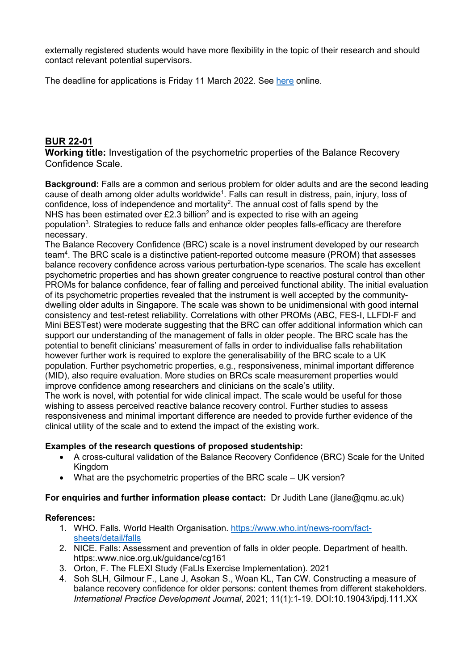externally registered students would have more flexibility in the topic of their research and should contact relevant potential supervisors.

The deadline for applications is Friday 11 March 2022. See [here](https://www.qmu.ac.uk/study-here/postgraduate-research-study/graduate-school-and-doctoral-research/phd-bursary-competition/) online.

# **BUR 22-01**

**Working title:** Investigation of the psychometric properties of the Balance Recovery Confidence Scale.

**Background:** Falls are a common and serious problem for older adults and are the second leading cause of death among older adults worldwide<sup>1</sup>. Falls can result in distress, pain, injury, loss of confidence, loss of independence and mortality<sup>2</sup>. The annual cost of falls spend by the NHS has been estimated over £2.3 billion<sup>2</sup> and is expected to rise with an ageing population<sup>3</sup>. Strategies to reduce falls and enhance older peoples falls-efficacy are therefore necessary.

The Balance Recovery Confidence (BRC) scale is a novel instrument developed by our research team $^4$ . The BRC scale is a distinctive patient-reported outcome measure (PROM) that assesses balance recovery confidence across various perturbation-type scenarios. The scale has excellent psychometric properties and has shown greater congruence to reactive postural control than other PROMs for balance confidence, fear of falling and perceived functional ability. The initial evaluation of its psychometric properties revealed that the instrument is well accepted by the communitydwelling older adults in Singapore. The scale was shown to be unidimensional with good internal consistency and test-retest reliability. Correlations with other PROMs (ABC, FES-I, LLFDI-F and Mini BESTest) were moderate suggesting that the BRC can offer additional information which can support our understanding of the management of falls in older people. The BRC scale has the potential to benefit clinicians' measurement of falls in order to individualise falls rehabilitation however further work is required to explore the generalisability of the BRC scale to a UK population. Further psychometric properties, e.g., responsiveness, minimal important difference (MID), also require evaluation. More studies on BRCs scale measurement properties would improve confidence among researchers and clinicians on the scale's utility.

The work is novel, with potential for wide clinical impact. The scale would be useful for those wishing to assess perceived reactive balance recovery control. Further studies to assess responsiveness and minimal important difference are needed to provide further evidence of the clinical utility of the scale and to extend the impact of the existing work.

## **Examples of the research questions of proposed studentship:**

- A cross-cultural validation of the Balance Recovery Confidence (BRC) Scale for the United Kingdom
- What are the psychometric properties of the BRC scale UK version?

**For enquiries and further information please contact:** Dr Judith Lane (jlane@qmu.ac.uk)

## **References:**

- 1. WHO. Falls. World Health Organisation. [https://www.who.int/news-room/fact](https://www.who.int/news-room/fact-sheets/detail/falls)[sheets/detail/falls](https://www.who.int/news-room/fact-sheets/detail/falls)
- 2. NICE. Falls: Assessment and prevention of falls in older people. Department of health. https:.www.nice.org.uk/guidance/cg161
- 3. Orton, F. The FLEXI Study (FaLls Exercise Implementation). 2021
- 4. Soh SLH, Gilmour F., Lane J, Asokan S., Woan KL, Tan CW. Constructing a measure of balance recovery confidence for older persons: content themes from different stakeholders. *International Practice Development Journal*, 2021; 11(1):1-19. DOI:10.19043/ipdj.111.XX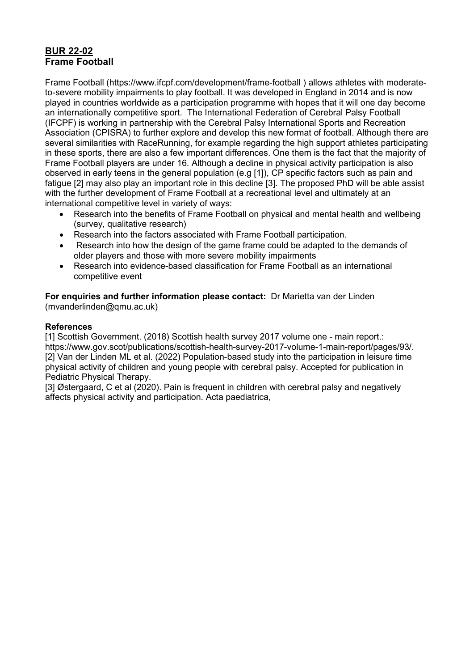# **BUR 22-02 Frame Football**

Frame Football (https://www.ifcpf.com/development/frame-football ) allows athletes with moderateto-severe mobility impairments to play football. It was developed in England in 2014 and is now played in countries worldwide as a participation programme with hopes that it will one day become an internationally competitive sport. The International Federation of Cerebral Palsy Football (IFCPF) is working in partnership with the Cerebral Palsy International Sports and Recreation Association (CPISRA) to further explore and develop this new format of football. Although there are several similarities with RaceRunning, for example regarding the high support athletes participating in these sports, there are also a few important differences. One them is the fact that the majority of Frame Football players are under 16. Although a decline in physical activity participation is also observed in early teens in the general population (e.g [1]), CP specific factors such as pain and fatigue [2] may also play an important role in this decline [3]. The proposed PhD will be able assist with the further development of Frame Football at a recreational level and ultimately at an international competitive level in variety of ways:

- Research into the benefits of Frame Football on physical and mental health and wellbeing (survey, qualitative research)
- Research into the factors associated with Frame Football participation.
- Research into how the design of the game frame could be adapted to the demands of older players and those with more severe mobility impairments
- Research into evidence-based classification for Frame Football as an international competitive event

**For enquiries and further information please contact:** Dr Marietta van der Linden (mvanderlinden@qmu.ac.uk)

## **References**

[1] Scottish Government. (2018) Scottish health survey 2017 volume one - main report.: https://www.gov.scot/publications/scottish-health-survey-2017-volume-1-main-report/pages/93/. [2] Van der Linden ML et al. (2022) Population-based study into the participation in leisure time physical activity of children and young people with cerebral palsy. Accepted for publication in Pediatric Physical Therapy.

[3] Østergaard, C et al (2020). Pain is frequent in children with cerebral palsy and negatively affects physical activity and participation. Acta paediatrica,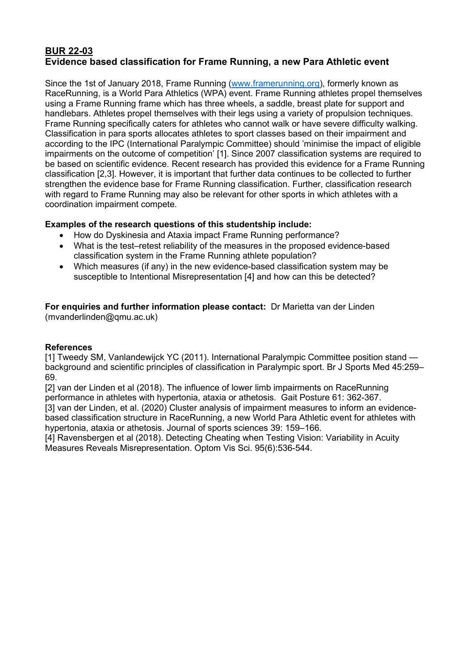# **BUR 22-03 Evidence based classification for Frame Running, a new Para Athletic event**

Since the 1st of January 2018, Frame Running [\(www.framerunning.org\)](http://www.framerunning.org/), formerly known as RaceRunning, is a World Para Athletics (WPA) event. Frame Running athletes propel themselves using a Frame Running frame which has three wheels, a saddle, breast plate for support and handlebars. Athletes propel themselves with their legs using a variety of propulsion techniques. Frame Running specifically caters for athletes who cannot walk or have severe difficulty walking. Classification in para sports allocates athletes to sport classes based on their impairment and according to the IPC (International Paralympic Committee) should 'minimise the impact of eligible impairments on the outcome of competition' [1]. Since 2007 classification systems are required to be based on scientific evidence. Recent research has provided this evidence for a Frame Running classification [2,3]. However, it is important that further data continues to be collected to further strengthen the evidence base for Frame Running classification. Further, classification research with regard to Frame Running may also be relevant for other sports in which athletes with a coordination impairment compete.

# **Examples of the research questions of this studentship include:**

- How do Dyskinesia and Ataxia impact Frame Running performance?
- What is the test–retest reliability of the measures in the proposed evidence-based classification system in the Frame Running athlete population?
- Which measures (if any) in the new evidence-based classification system may be susceptible to Intentional Misrepresentation [4] and how can this be detected?

#### **For enquiries and further information please contact:** Dr Marietta van der Linden (mvanderlinden@qmu.ac.uk)

## **References**

[1] Tweedy SM, Vanlandewijck YC (2011). International Paralympic Committee position stand background and scientific principles of classification in Paralympic sport. Br J Sports Med 45:259– 69.

[2] van der Linden et al (2018). The influence of lower limb impairments on RaceRunning performance in athletes with hypertonia, ataxia or athetosis.Gait Posture 61: 362-367. [3] van der Linden, et al. (2020) Cluster analysis of impairment measures to inform an evidencebased classification structure in RaceRunning, a new World Para Athletic event for athletes with hypertonia, ataxia or athetosis. Journal of sports sciences 39: 159–166.

[4] Ravensbergen et al (2018). Detecting Cheating when Testing Vision: Variability in Acuity Measures Reveals Misrepresentation. Optom Vis Sci. 95(6):536-544.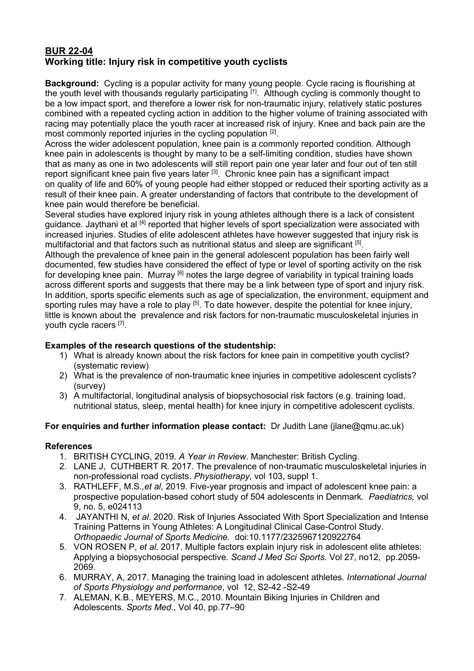# **BUR 22-04 Working title: Injury risk in competitive youth cyclists**

**Background:** Cycling is a popular activity for many young people. Cycle racing is flourishing at the youth level with thousands regularly participating [1]. Although cycling is commonly thought to be a low impact sport, and therefore a lower risk for non-traumatic injury, relatively static postures combined with a repeated cycling action in addition to the higher volume of training associated with racing may potentially place the youth racer at increased risk of injury. Knee and back pain are the most commonly reported injuries in the cycling population [2].

Across the wider adolescent population, knee pain is a commonly reported condition. Although knee pain in adolescents is thought by many to be a self-limiting condition, studies have shown that as many as one in two adolescents will still report pain one year later and four out of ten still report significant knee pain five years later [3]. Chronic knee pain has a significant impact on quality of life and 60% of young people had either stopped or reduced their sporting activity as a result of their knee pain. A greater understanding of factors that contribute to the development of knee pain would therefore be beneficial.

Several studies have explored injury risk in young athletes although there is a lack of consistent guidance. Jaythani et al [4] reported that higher levels of sport specialization were associated with increased injuries. Studies of elite adolescent athletes have however suggested that injury risk is multifactorial and that factors such as nutritional status and sleep are significant [5].

Although the prevalence of knee pain in the general adolescent population has been fairly well documented, few studies have considered the effect of type or level of sporting activity on the risk for developing knee pain. Murray <sup>[6]</sup> notes the large degree of variability in typical training loads across different sports and suggests that there may be a link between type of sport and injury risk. In addition, sports specific elements such as age of specialization, the environment, equipment and sporting rules may have a role to play <sup>[5]</sup>. To date however, despite the potential for knee injury, little is known about the prevalence and risk factors for non-traumatic musculoskeletal injuries in youth cycle racers [7].

# **Examples of the research questions of the studentship:**

- 1) What is already known about the risk factors for knee pain in competitive youth cyclist? (systematic review)
- 2) What is the prevalence of non-traumatic knee injuries in competitive adolescent cyclists? (survey)
- 3) A multifactorial, longitudinal analysis of biopsychosocial risk factors (e.g. training load, nutritional status, sleep, mental health) for knee injury in competitive adolescent cyclists.

## **For enquiries and further information please contact:** Dr Judith Lane (jlane@qmu.ac.uk)

## **References**

- 1. BRITISH CYCLING, 2019. *A Year in Review*. Manchester: British Cycling.
- 2. LANE J, CUTHBERT R. 2017. The prevalence of non-traumatic musculoskeletal injuries in non-professional road cyclists. *Physiotherapy*, vol 103, suppl 1.
- 3. RATHLEFF, M.S*.,et al*, 2019. Five-year prognosis and impact of adolescent knee pain: a prospective population-based cohort study of 504 adolescents in Denmark. *Paediatrics,* vol 9, no. 5, e024113
- 4. JAYANTHI N, *et al*. 2020. Risk of Injuries Associated With Sport Specialization and Intense Training Patterns in Young Athletes: A Longitudinal Clinical Case-Control Study. *Orthopaedic Journal of Sports Medicine.* doi:10.1177/2325967120922764
- 5. VON ROSEN P, *et al*. 2017. Multiple factors explain injury risk in adolescent elite athletes: Applying a biopsychosocial perspective. *Scand J Med Sci Sports*. Vol 27, no12, pp.2059- 2069.
- 6. MURRAY, A, 2017. Managing the training load in adolescent athletes*. International Journal of Sports Physiology and performance*, vol 12, S2-42 -S2-49
- 7. ALEMAN, K.B., MEYERS, M.C., 2010. Mountain Biking Injuries in Children and Adolescents. *Sports Med*., Vol 40, pp.77–90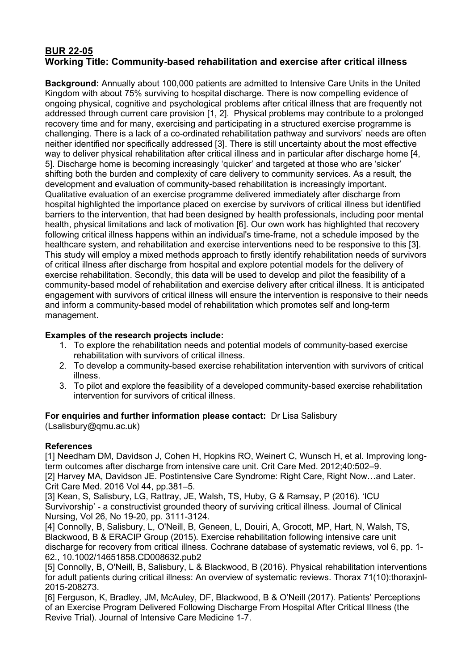# **BUR 22-05 Working Title: Community-based rehabilitation and exercise after critical illness**

**Background:** Annually about 100,000 patients are admitted to Intensive Care Units in the United Kingdom with about 75% surviving to hospital discharge. There is now compelling evidence of ongoing physical, cognitive and psychological problems after critical illness that are frequently not addressed through current care provision [1, 2]. Physical problems may contribute to a prolonged recovery time and for many, exercising and participating in a structured exercise programme is challenging. There is a lack of a co-ordinated rehabilitation pathway and survivors' needs are often neither identified nor specifically addressed [3]. There is still uncertainty about the most effective way to deliver physical rehabilitation after critical illness and in particular after discharge home [4, 5]. Discharge home is becoming increasingly 'quicker' and targeted at those who are 'sicker' shifting both the burden and complexity of care delivery to community services. As a result, the development and evaluation of community-based rehabilitation is increasingly important. Qualitative evaluation of an exercise programme delivered immediately after discharge from hospital highlighted the importance placed on exercise by survivors of critical illness but identified barriers to the intervention, that had been designed by health professionals, including poor mental health, physical limitations and lack of motivation [6]. Our own work has highlighted that recovery following critical illness happens within an individual's time-frame, not a schedule imposed by the healthcare system, and rehabilitation and exercise interventions need to be responsive to this [3]. This study will employ a mixed methods approach to firstly identify rehabilitation needs of survivors of critical illness after discharge from hospital and explore potential models for the delivery of exercise rehabilitation. Secondly, this data will be used to develop and pilot the feasibility of a community-based model of rehabilitation and exercise delivery after critical illness. It is anticipated engagement with survivors of critical illness will ensure the intervention is responsive to their needs and inform a community-based model of rehabilitation which promotes self and long-term management.

## **Examples of the research projects include:**

- 1. To explore the rehabilitation needs and potential models of community-based exercise rehabilitation with survivors of critical illness.
- 2. To develop a community-based exercise rehabilitation intervention with survivors of critical illness.
- 3. To pilot and explore the feasibility of a developed community-based exercise rehabilitation intervention for survivors of critical illness.

## **For enquiries and further information please contact:** Dr Lisa Salisbury

(Lsalisbury@qmu.ac.uk)

## **References**

[1] Needham DM, Davidson J, Cohen H, Hopkins RO, Weinert C, Wunsch H, et al. Improving longterm outcomes after discharge from intensive care unit. Crit Care Med. 2012;40:502–9.

[2] Harvey MA, Davidson JE. Postintensive Care Syndrome: Right Care, Right Now…and Later. Crit Care Med. 2016 Vol 44, pp.381–5.

[3] Kean, S, Salisbury, LG, Rattray, JE, Walsh, TS, Huby, G & Ramsay, P (2016). 'ICU Survivorship' - a constructivist grounded theory of surviving critical illness. Journal of Clinical Nursing, Vol 26, No 19-20, pp. 3111-3124.

[4] Connolly, B, Salisbury, L, O'Neill, B, Geneen, L, Douiri, A, Grocott, MP, Hart, N, Walsh, TS, Blackwood, B & ERACIP Group (2015). Exercise rehabilitation following intensive care unit discharge for recovery from critical illness. Cochrane database of systematic reviews, vol 6, pp. 1- 62., 10.1002/14651858.CD008632.pub2

[5] Connolly, B, O'Neill, B, Salisbury, L & Blackwood, B (2016). Physical rehabilitation interventions for adult patients during critical illness: An overview of systematic reviews. Thorax 71(10):thoraxjnl-2015-208273.

[6] Ferguson, K, Bradley, JM, McAuley, DF, Blackwood, B & O'Neill (2017). Patients' Perceptions of an Exercise Program Delivered Following Discharge From Hospital After Critical Illness (the Revive Trial). Journal of Intensive Care Medicine 1-7.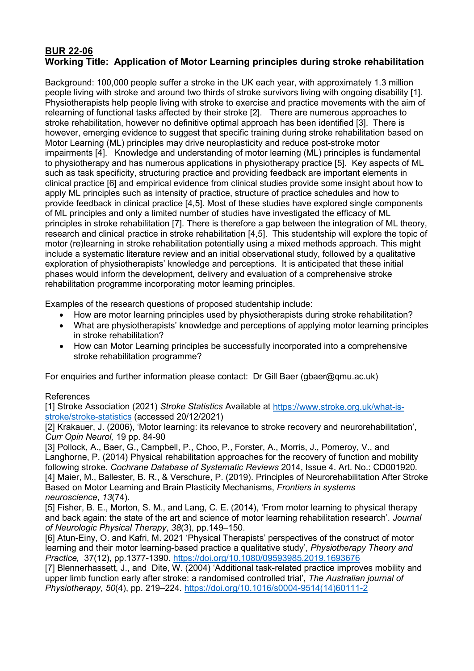# **BUR 22-06 Working Title: Application of Motor Learning principles during stroke rehabilitation**

Background: 100,000 people suffer a stroke in the UK each year, with approximately 1.3 million people living with stroke and around two thirds of stroke survivors living with ongoing disability [1]. Physiotherapists help people living with stroke to exercise and practice movements with the aim of relearning of functional tasks affected by their stroke [2]. There are numerous approaches to stroke rehabilitation, however no definitive optimal approach has been identified [3]. There is however, emerging evidence to suggest that specific training during stroke rehabilitation based on Motor Learning (ML) principles may drive neuroplasticity and reduce post-stroke motor impairments [4]. Knowledge and understanding of motor learning (ML) principles is fundamental to physiotherapy and has numerous applications in physiotherapy practice [5]. Key aspects of ML such as task specificity, structuring practice and providing feedback are important elements in clinical practice [6] and empirical evidence from clinical studies provide some insight about how to apply ML principles such as intensity of practice, structure of practice schedules and how to provide feedback in clinical practice [4,5]. Most of these studies have explored single components of ML principles and only a limited number of studies have investigated the efficacy of ML principles in stroke rehabilitation [7]. There is therefore a gap between the integration of ML theory, research and clinical practice in stroke rehabilitation [4,5]. This studentship will explore the topic of motor (re)learning in stroke rehabilitation potentially using a mixed methods approach. This might include a systematic literature review and an initial observational study, followed by a qualitative exploration of physiotherapists' knowledge and perceptions. It is anticipated that these initial phases would inform the development, delivery and evaluation of a comprehensive stroke rehabilitation programme incorporating motor learning principles.

Examples of the research questions of proposed studentship include:

- How are motor learning principles used by physiotherapists during stroke rehabilitation?
- What are physiotherapists' knowledge and perceptions of applying motor learning principles in stroke rehabilitation?
- How can Motor Learning principles be successfully incorporated into a comprehensive stroke rehabilitation programme?

For enquiries and further information please contact: Dr Gill Baer (gbaer@qmu.ac.uk)

## References

[1] Stroke Association (2021) *Stroke Statistics* Available at [https://www.stroke.org.uk/what-is](https://www.stroke.org.uk/what-is-stroke/stroke-statistics)[stroke/stroke-statistics](https://www.stroke.org.uk/what-is-stroke/stroke-statistics) (accessed 20/12/2021)

[2] Krakauer, J. (2006), 'Motor learning: its relevance to stroke recovery and neurorehabilitation', *Curr Opin Neurol,* 19 pp. 84-90

[3] Pollock, A., Baer, G., Campbell, P., Choo, P., Forster, A., Morris. J., Pomerov. V., and Langhorne, P. (2014) Physical rehabilitation approaches for the recovery of function and mobility following stroke. *Cochrane Database of Systematic Reviews* 2014, Issue 4. Art. No.: CD001920. [4] Maier, M., Ballester, B. R., & Verschure, P. (2019). Principles of Neurorehabilitation After Stroke Based on Motor Learning and Brain Plasticity Mechanisms, *Frontiers in systems neuroscience*, *13*(74).

[5] Fisher, B. E., Morton, S. M., and Lang, C. E. (2014), 'From motor learning to physical therapy and back again: the state of the art and science of motor learning rehabilitation research'. *Journal of Neurologic Physical Therapy*, *38*(3), pp.149–150.

[6] Atun-Einy, O. and Kafri, M. 2021 'Physical Therapists' perspectives of the construct of motor learning and their motor learning-based practice a qualitative study', *Physiotherapy Theory and Practice,* 37(12), pp.1377-1390.<https://doi.org/10.1080/09593985.2019.1693676>

[7] Blennerhassett, J., and Dite, W. (2004) 'Additional task-related practice improves mobility and upper limb function early after stroke: a randomised controlled trial', *The Australian journal of Physiotherapy*, *50*(4), pp. 219–224. [https://doi.org/10.1016/s0004-9514\(14\)60111-2](https://doi.org/10.1016/s0004-9514(14)60111-2)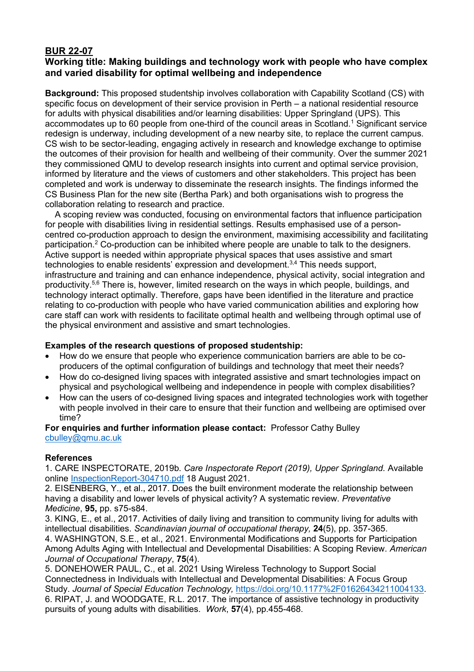# **BUR 22-07**

# **Working title: Making buildings and technology work with people who have complex and varied disability for optimal wellbeing and independence**

**Background:** This proposed studentship involves collaboration with Capability Scotland (CS) with specific focus on development of their service provision in Perth – a national residential resource for adults with physical disabilities and/or learning disabilities: Upper Springland (UPS). This accommodates up to 60 people from one-third of the council areas in Scotland.1 Significant service redesign is underway, including development of a new nearby site, to replace the current campus. CS wish to be sector-leading, engaging actively in research and knowledge exchange to optimise the outcomes of their provision for health and wellbeing of their community. Over the summer 2021 they commissioned QMU to develop research insights into current and optimal service provision, informed by literature and the views of customers and other stakeholders. This project has been completed and work is underway to disseminate the research insights. The findings informed the CS Business Plan for the new site (Bertha Park) and both organisations wish to progress the collaboration relating to research and practice.

 A scoping review was conducted, focusing on environmental factors that influence participation for people with disabilities living in residential settings. Results emphasised use of a personcentred co-production approach to design the environment, maximising accessibility and facilitating participation.2 Co-production can be inhibited where people are unable to talk to the designers. Active support is needed within appropriate physical spaces that uses assistive and smart technologies to enable residents' expression and development.<sup>3,4</sup> This needs support, infrastructure and training and can enhance independence, physical activity, social integration and productivity.5,6 There is, however, limited research on the ways in which people, buildings, and technology interact optimally. Therefore, gaps have been identified in the literature and practice relating to co-production with people who have varied communication abilities and exploring how care staff can work with residents to facilitate optimal health and wellbeing through optimal use of the physical environment and assistive and smart technologies.

## **Examples of the research questions of proposed studentship:**

- How do we ensure that people who experience communication barriers are able to be coproducers of the optimal configuration of buildings and technology that meet their needs?
- How do co-designed living spaces with integrated assistive and smart technologies impact on physical and psychological wellbeing and independence in people with complex disabilities?
- How can the users of co-designed living spaces and integrated technologies work with together with people involved in their care to ensure that their function and wellbeing are optimised over time?

### **For enquiries and further information please contact:** Professor Cathy Bulley [cbulley@qmu.ac.uk](mailto:cbulley@qmu.ac.uk)

#### **References**

1. CARE INSPECTORATE, 2019b. *Care Inspectorate Report (2019), Upper Springland.* Available online InspectionReport-304710.pdf 18 August 2021.

2. EISENBERG, Y., et al., 2017. Does the built environment moderate the relationship between having a disability and lower levels of physical activity? A systematic review. *Preventative Medicine*, **95,** pp. s75-s84.

3. KING, E., et al., 2017. Activities of daily living and transition to community living for adults with intellectual disabilities. *Scandinavian journal of occupational therapy,* **24**(5), pp. 357-365. 4. WASHINGTON, S.E., et al., 2021. Environmental Modifications and Supports for Participation Among Adults Aging with Intellectual and Developmental Disabilities: A Scoping Review. *American Journal of Occupational Therapy*, **75**(4).

5. DONEHOWER PAUL, C., et al. 2021 Using Wireless Technology to Support Social Connectedness in Individuals with Intellectual and Developmental Disabilities: A Focus Group Study. *Journal of Special Education Technology,* [https://doi.org/10.1177%2F01626434211004133.](https://doi.org/10.1177%2F01626434211004133) 6. RIPAT, J. and WOODGATE, R.L. 2017. The importance of assistive technology in productivity pursuits of young adults with disabilities. *Work*, **57**(4), pp.455-468.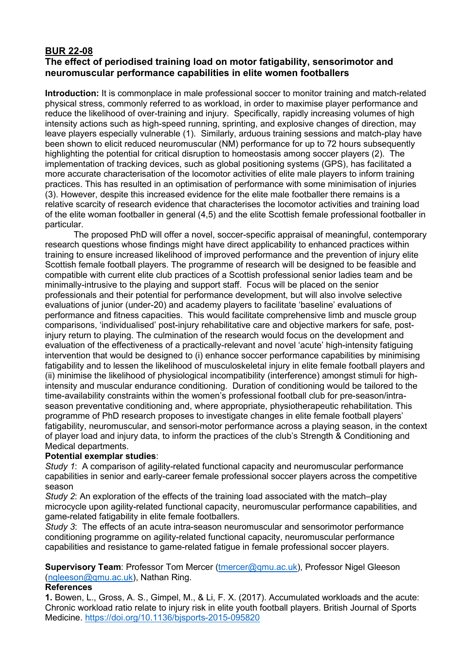## **BUR 22-08 The effect of periodised training load on motor fatigability, sensorimotor and neuromuscular performance capabilities in elite women footballers**

**Introduction:** It is commonplace in male professional soccer to monitor training and match-related physical stress, commonly referred to as workload, in order to maximise player performance and reduce the likelihood of over-training and injury. Specifically, rapidly increasing volumes of high intensity actions such as high-speed running, sprinting, and explosive changes of direction, may leave players especially vulnerable (1). Similarly, arduous training sessions and match-play have been shown to elicit reduced neuromuscular (NM) performance for up to 72 hours subsequently highlighting the potential for critical disruption to homeostasis among soccer players (2). The implementation of tracking devices, such as global positioning systems (GPS), has facilitated a more accurate characterisation of the locomotor activities of elite male players to inform training practices. This has resulted in an optimisation of performance with some minimisation of injuries (3). However, despite this increased evidence for the elite male footballer there remains is a relative scarcity of research evidence that characterises the locomotor activities and training load of the elite woman footballer in general (4,5) and the elite Scottish female professional footballer in particular.

The proposed PhD will offer a novel, soccer-specific appraisal of meaningful, contemporary research questions whose findings might have direct applicability to enhanced practices within training to ensure increased likelihood of improved performance and the prevention of injury elite Scottish female football players. The programme of research will be designed to be feasible and compatible with current elite club practices of a Scottish professional senior ladies team and be minimally-intrusive to the playing and support staff. Focus will be placed on the senior professionals and their potential for performance development, but will also involve selective evaluations of junior (under-20) and academy players to facilitate 'baseline' evaluations of performance and fitness capacities. This would facilitate comprehensive limb and muscle group comparisons, 'individualised' post-injury rehabilitative care and objective markers for safe, postinjury return to playing. The culmination of the research would focus on the development and evaluation of the effectiveness of a practically-relevant and novel 'acute' high-intensity fatiguing intervention that would be designed to (i) enhance soccer performance capabilities by minimising fatigability and to lessen the likelihood of musculoskeletal injury in elite female football players and (ii) minimise the likelihood of physiological incompatibility (interference) amongst stimuli for highintensity and muscular endurance conditioning. Duration of conditioning would be tailored to the time-availability constraints within the women's professional football club for pre-season/intraseason preventative conditioning and, where appropriate, physiotherapeutic rehabilitation. This programme of PhD research proposes to investigate changes in elite female football players' fatigability, neuromuscular, and sensori-motor performance across a playing season, in the context of player load and injury data, to inform the practices of the club's Strength & Conditioning and Medical departments.

## **Potential exemplar studies**:

*Study 1*: A comparison of agility-related functional capacity and neuromuscular performance capabilities in senior and early-career female professional soccer players across the competitive season

*Study 2*: An exploration of the effects of the training load associated with the match–play microcycle upon agility-related functional capacity, neuromuscular performance capabilities, and game-related fatigability in elite female footballers.

*Study 3*: The effects of an acute intra-season neuromuscular and sensorimotor performance conditioning programme on agility-related functional capacity, neuromuscular performance capabilities and resistance to game-related fatigue in female professional soccer players.

## **Supervisory Team: Professor Tom Mercer (tmercer@gmu.ac.uk), Professor Nigel Gleeson** [\(ngleeson@qmu.ac.uk\)](mailto:ngleeson@qmu.ac.uk), Nathan Ring.

#### **References**

**1.** Bowen, L., Gross, A. S., Gimpel, M., & Li, F. X. (2017). Accumulated workloads and the acute: Chronic workload ratio relate to injury risk in elite youth football players. British Journal of Sports Medicine.<https://doi.org/10.1136/bjsports-2015-095820>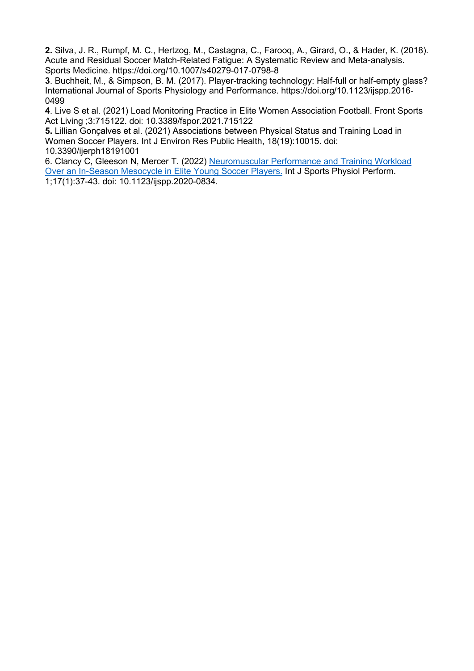**2.** Silva, J. R., Rumpf, M. C., Hertzog, M., Castagna, C., Farooq, A., Girard, O., & Hader, K. (2018). Acute and Residual Soccer Match-Related Fatigue: A Systematic Review and Meta-analysis. Sports Medicine. https://doi.org/10.1007/s40279-017-0798-8

**3**. Buchheit, M., & Simpson, B. M. (2017). Player-tracking technology: Half-full or half-empty glass? International Journal of Sports Physiology and Performance. https://doi.org/10.1123/ijspp.2016- 0499

**4**. Live S et al. (2021) Load Monitoring Practice in Elite Women Association Football. Front Sports Act Living ;3:715122. doi: 10.3389/fspor.2021.715122

**5.** Lillian Gonçalves et al. (2021) Associations between Physical Status and Training Load in Women Soccer Players. Int J Environ Res Public Health, 18(19):10015. doi: 10.3390/ijerph18191001

6. Clancy C, Gleeson N, Mercer T. (2022) [Neuromuscular Performance and Training Workload](https://pubmed.ncbi.nlm.nih.gov/34404025/)  [Over an In-Season Mesocycle in Elite Young Soccer Players.](https://pubmed.ncbi.nlm.nih.gov/34404025/) Int J Sports Physiol Perform. 1;17(1):37-43. doi: 10.1123/ijspp.2020-0834.